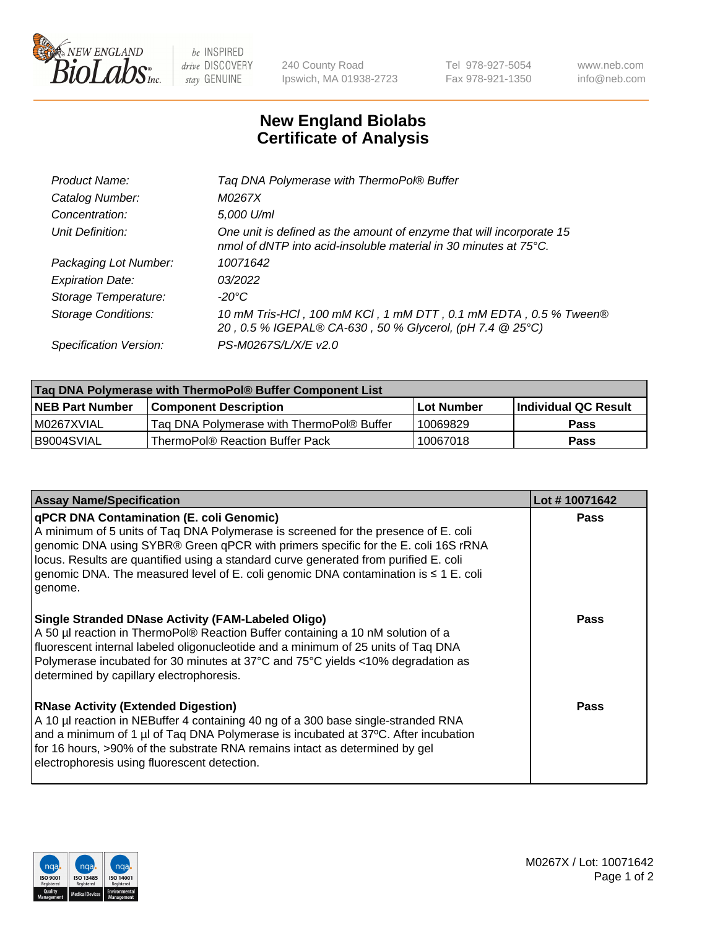

 $be$  INSPIRED drive DISCOVERY stay GENUINE

240 County Road Ipswich, MA 01938-2723 Tel 978-927-5054 Fax 978-921-1350 www.neb.com info@neb.com

## **New England Biolabs Certificate of Analysis**

| Tag DNA Polymerase with ThermoPol® Buffer                                                                                                |
|------------------------------------------------------------------------------------------------------------------------------------------|
| M0267X                                                                                                                                   |
| 5,000 U/ml                                                                                                                               |
| One unit is defined as the amount of enzyme that will incorporate 15<br>nmol of dNTP into acid-insoluble material in 30 minutes at 75°C. |
| 10071642                                                                                                                                 |
| 03/2022                                                                                                                                  |
| $-20^{\circ}$ C                                                                                                                          |
| 10 mM Tris-HCl, 100 mM KCl, 1 mM DTT, 0.1 mM EDTA, 0.5 % Tween®<br>20, 0.5 % IGEPAL® CA-630, 50 % Glycerol, (pH 7.4 @ 25°C)              |
| PS-M0267S/L/X/E v2.0                                                                                                                     |
|                                                                                                                                          |

| ∣Taq DNA Polymerase with ThermoPol® Buffer Component List |                                           |                   |                      |  |  |
|-----------------------------------------------------------|-------------------------------------------|-------------------|----------------------|--|--|
| <b>NEB Part Number</b>                                    | <b>Component Description</b>              | <b>Lot Number</b> | Individual QC Result |  |  |
| I M0267XVIAL                                              | Tag DNA Polymerase with ThermoPol® Buffer | 10069829          | Pass                 |  |  |
| B9004SVIAL                                                | ThermoPol® Reaction Buffer Pack           | 10067018          | Pass                 |  |  |

| <b>Assay Name/Specification</b>                                                                                                                                                                                                                                                                                                                                                                                      | Lot #10071642 |
|----------------------------------------------------------------------------------------------------------------------------------------------------------------------------------------------------------------------------------------------------------------------------------------------------------------------------------------------------------------------------------------------------------------------|---------------|
| <b>qPCR DNA Contamination (E. coli Genomic)</b><br>A minimum of 5 units of Taq DNA Polymerase is screened for the presence of E. coli<br>genomic DNA using SYBR® Green qPCR with primers specific for the E. coli 16S rRNA<br>locus. Results are quantified using a standard curve generated from purified E. coli<br>genomic DNA. The measured level of E. coli genomic DNA contamination is ≤ 1 E. coli<br>genome. | <b>Pass</b>   |
| <b>Single Stranded DNase Activity (FAM-Labeled Oligo)</b><br>A 50 µl reaction in ThermoPol® Reaction Buffer containing a 10 nM solution of a<br>fluorescent internal labeled oligonucleotide and a minimum of 25 units of Taq DNA<br>Polymerase incubated for 30 minutes at 37°C and 75°C yields <10% degradation as<br>determined by capillary electrophoresis.                                                     | <b>Pass</b>   |
| <b>RNase Activity (Extended Digestion)</b><br>A 10 µl reaction in NEBuffer 4 containing 40 ng of a 300 base single-stranded RNA<br>and a minimum of 1 $\mu$ of Taq DNA Polymerase is incubated at 37 $\degree$ C. After incubation<br>for 16 hours, >90% of the substrate RNA remains intact as determined by gel<br>electrophoresis using fluorescent detection.                                                    | <b>Pass</b>   |